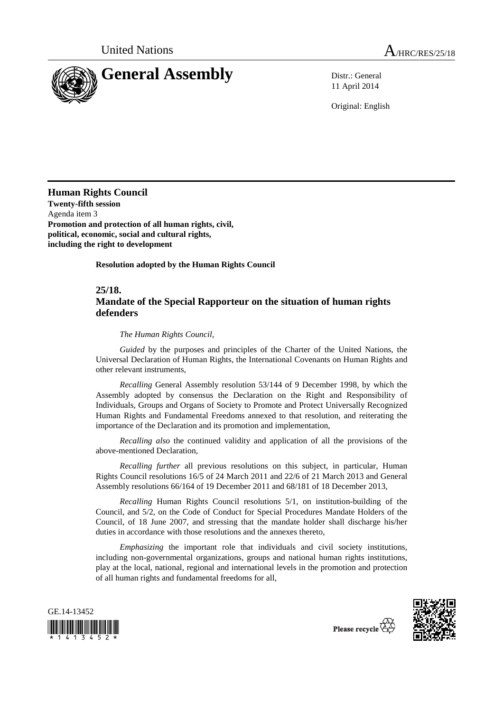

11 April 2014

Original: English

**Human Rights Council Twenty-fifth session**  Agenda item 3 **Promotion and protection of all human rights, civil, political, economic, social and cultural rights, including the right to development** 

 **Resolution adopted by the Human Rights Council** 

## **25/18.**

## **Mandate of the Special Rapporteur on the situation of human rights defenders**

## *The Human Rights Council*,

*Guided* by the purposes and principles of the Charter of the United Nations, the Universal Declaration of Human Rights, the International Covenants on Human Rights and other relevant instruments,

*Recalling* General Assembly resolution 53/144 of 9 December 1998, by which the Assembly adopted by consensus the Declaration on the Right and Responsibility of Individuals, Groups and Organs of Society to Promote and Protect Universally Recognized Human Rights and Fundamental Freedoms annexed to that resolution, and reiterating the importance of the Declaration and its promotion and implementation,

*Recalling also* the continued validity and application of all the provisions of the above-mentioned Declaration,

*Recalling further* all previous resolutions on this subject, in particular, Human Rights Council resolutions 16/5 of 24 March 2011 and 22/6 of 21 March 2013 and General Assembly resolutions 66/164 of 19 December 2011 and 68/181 of 18 December 2013,

*Recalling* Human Rights Council resolutions 5/1, on institution-building of the Council, and 5/2, on the Code of Conduct for Special Procedures Mandate Holders of the Council, of 18 June 2007, and stressing that the mandate holder shall discharge his/her duties in accordance with those resolutions and the annexes thereto,

*Emphasizing* the important role that individuals and civil society institutions, including non-governmental organizations, groups and national human rights institutions, play at the local, national, regional and international levels in the promotion and protection of all human rights and fundamental freedoms for all,





Please recycle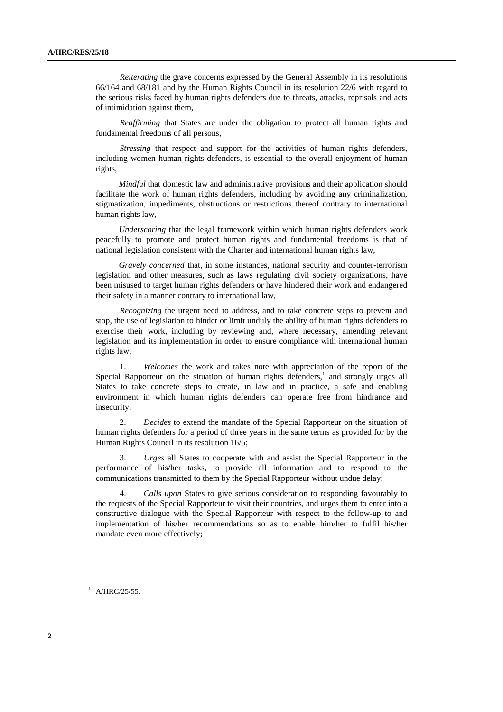*Reiterating* the grave concerns expressed by the General Assembly in its resolutions 66/164 and 68/181 and by the Human Rights Council in its resolution 22/6 with regard to the serious risks faced by human rights defenders due to threats, attacks, reprisals and acts of intimidation against them,

*Reaffirming* that States are under the obligation to protect all human rights and fundamental freedoms of all persons,

*Stressing* that respect and support for the activities of human rights defenders, including women human rights defenders, is essential to the overall enjoyment of human rights,

*Mindful* that domestic law and administrative provisions and their application should facilitate the work of human rights defenders, including by avoiding any criminalization, stigmatization, impediments, obstructions or restrictions thereof contrary to international human rights law,

 *Underscoring* that the legal framework within which human rights defenders work peacefully to promote and protect human rights and fundamental freedoms is that of national legislation consistent with the Charter and international human rights law,

 *Gravely concerned* that, in some instances, national security and counter-terrorism legislation and other measures, such as laws regulating civil society organizations, have been misused to target human rights defenders or have hindered their work and endangered their safety in a manner contrary to international law,

*Recognizing* the urgent need to address, and to take concrete steps to prevent and stop, the use of legislation to hinder or limit unduly the ability of human rights defenders to exercise their work, including by reviewing and, where necessary, amending relevant legislation and its implementation in order to ensure compliance with international human rights law,

1. *Welcomes* the work and takes note with appreciation of the report of the Special Rapporteur on the situation of human rights defenders, $<sup>1</sup>$  and strongly urges all</sup> States to take concrete steps to create, in law and in practice, a safe and enabling environment in which human rights defenders can operate free from hindrance and insecurity;

2. *Decides* to extend the mandate of the Special Rapporteur on the situation of human rights defenders for a period of three years in the same terms as provided for by the Human Rights Council in its resolution 16/5;

3. *Urges* all States to cooperate with and assist the Special Rapporteur in the performance of his/her tasks, to provide all information and to respond to the communications transmitted to them by the Special Rapporteur without undue delay;

4. *Calls upon* States to give serious consideration to responding favourably to the requests of the Special Rapporteur to visit their countries, and urges them to enter into a constructive dialogue with the Special Rapporteur with respect to the follow-up to and implementation of his/her recommendations so as to enable him/her to fulfil his/her mandate even more effectively;

 $^1$  A/HRC/25/55.